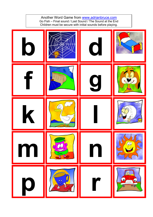